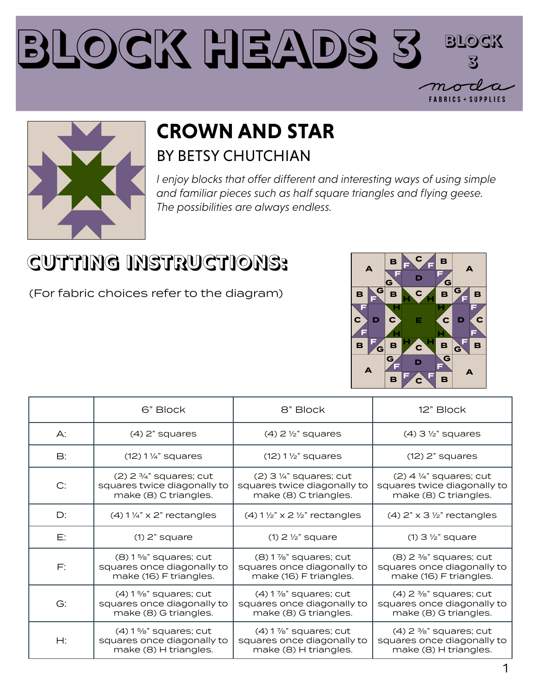#### **Block Heads 3 Block 3** $\bm{\gamma}$ **FABRICS + SUPPLIES**



### **CROWN AND STAR** BY BETSY CHUTCHIAN

*I enjoy blocks that offer different and interesting ways of using simple and familiar pieces such as half square triangles and flying geese. The possibilities are always endless.*

# **CUTTING INSTRUCTIONS:**

(For fabric choices refer to the diagram)



|               | 6" Block                                                                                     | 8" Block                                                                            | 12" Block                                                                                    |
|---------------|----------------------------------------------------------------------------------------------|-------------------------------------------------------------------------------------|----------------------------------------------------------------------------------------------|
| A:            | $(4)$ 2" squares                                                                             | $(4)$ 2 $\frac{1}{2}$ " squares                                                     | $(4)$ 3 $\frac{1}{2}$ " squares                                                              |
| $\mathsf{B}:$ | $(12) 1\frac{1}{4}$ " squares                                                                | $(12)$ 1 $\frac{1}{2}$ " squares                                                    | $(12)$ 2" squares                                                                            |
| C:            | $(2)$ 2 $\frac{3}{4}$ " squares; cut<br>squares twice diagonally to<br>make (8) C triangles. | $(2)$ 3 ¼" squares; cut<br>squares twice diagonally to<br>make (8) C triangles.     | $(2)$ 4 $\frac{1}{4}$ " squares; cut<br>squares twice diagonally to<br>make (8) C triangles. |
| D:            | $(4)$ 1 1/4" x 2" rectangles                                                                 | $(4)$ 1 1/2" x 2 1/2" rectangles                                                    | $(4)$ 2" x 3 1/2" rectangles                                                                 |
| Е:            | $(1)$ 2" square                                                                              | $(1)$ 2 $\frac{1}{2}$ " square                                                      | $(1)$ 3 $\frac{1}{2}$ " square                                                               |
| F:            | $(8)$ 1%" squares; cut<br>squares once diagonally to<br>make (16) F triangles.               | $(8)$ 1 $\%$ " squares; cut<br>squares once diagonally to<br>make (16) F triangles. | $(8)$ 2 $\frac{3}{8}$ " squares; cut<br>squares once diagonally to<br>make (16) F triangles. |
| G:            | $(4)$ 1 %" squares; cut<br>squares once diagonally to<br>make (8) G triangles.               | $(4)$ 1%" squares; cut<br>squares once diagonally to<br>make (8) G triangles.       | $(4)$ 2 $\frac{3}{8}$ " squares; cut<br>squares once diagonally to<br>make (8) G triangles.  |
| Н:            | $(4)$ 1 %" squares; cut<br>squares once diagonally to<br>make (8) H triangles.               | $(4)$ 1 $\%$ " squares; cut<br>squares once diagonally to<br>make (8) H triangles.  | $(4)$ 2 $\frac{3}{8}$ " squares; cut<br>squares once diagonally to<br>make (8) H triangles.  |